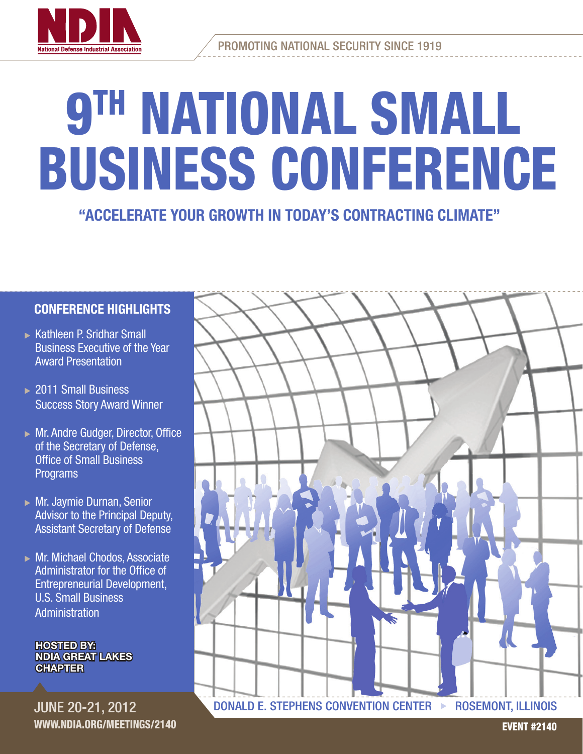

Promoting National Security Since 1919

# **9TH NATIONAL SMALL** Business conference

"Accelerate your growth in today's contracting climate"

### Conference highlights

- $\triangleright$  Kathleen P. Sridhar Small Business Executive of the Year Award Presentation
- $\geq$  2011 Small Business Success Story Award Winner
- $\triangleright$  Mr. Andre Gudger, Director, Office of the Secretary of Defense, Office of Small Business Programs
- $\triangleright$  Mr. Jaymie Durnan, Senior Advisor to the Principal Deputy, Assistant Secretary of Defense
- $\triangleright$  Mr. Michael Chodos, Associate Administrator for the Office of Entrepreneurial Development, U.S. Small Business **Administration**

**HOSTED BY:** NDIA Great Lakes **CHAPTER** 

June 20-21, 2012 www.ndia.org/meetings/2140

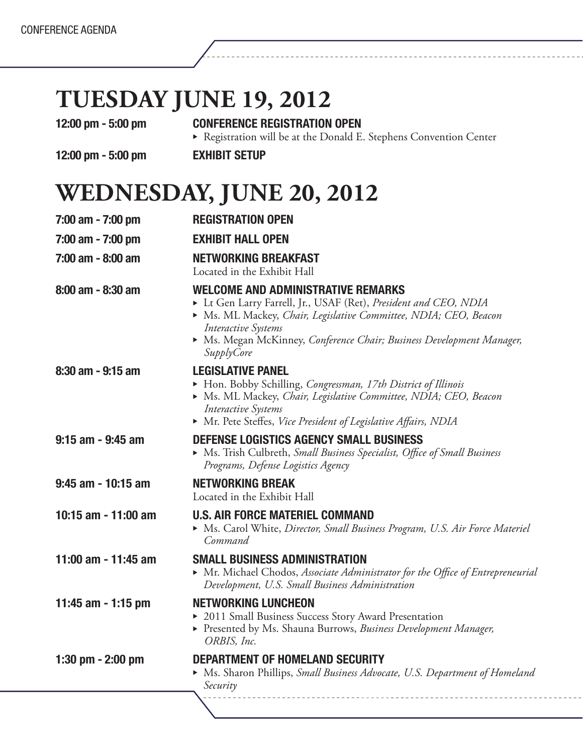# **Tuesday June 19, 2012**

### 12:00 pm - 5:00 pm CONFERENCE REGISTRATION OPEN

12:00 pm - 5:00 pm <br>
EXHIBIT SETUP

Registration will be at the Donald E. Stephens Convention Center

### **Wednesday, June 20, 2012**

| 7:00 am - 7:00 pm     | <b>REGISTRATION OPEN</b>                                                                                                                                                                                                                                                                                  |  |  |
|-----------------------|-----------------------------------------------------------------------------------------------------------------------------------------------------------------------------------------------------------------------------------------------------------------------------------------------------------|--|--|
| 7:00 am - 7:00 pm     | <b>EXHIBIT HALL OPEN</b>                                                                                                                                                                                                                                                                                  |  |  |
| $7:00$ am - 8:00 am   | <b>NETWORKING BREAKFAST</b><br>Located in the Exhibit Hall                                                                                                                                                                                                                                                |  |  |
| 8:00 am - 8:30 am     | <b>WELCOME AND ADMINISTRATIVE REMARKS</b><br>Et Gen Larry Farrell, Jr., USAF (Ret), President and CEO, NDIA<br>Ms. ML Mackey, Chair, Legislative Committee, NDIA; CEO, Beacon<br><b>Interactive Systems</b><br>> Ms. Megan McKinney, Conference Chair; Business Development Manager,<br><b>SupplyCore</b> |  |  |
| $8:30$ am - 9:15 am   | <b>LEGISLATIVE PANEL</b><br>• Hon. Bobby Schilling, Congressman, 17th District of Illinois<br>Ms. ML Mackey, Chair, Legislative Committee, NDIA; CEO, Beacon<br>Interactive Systems<br>• Mr. Pete Steffes, Vice President of Legislative Affairs, NDIA                                                    |  |  |
| $9:15$ am - $9:45$ am | DEFENSE LOGISTICS AGENCY SMALL BUSINESS<br>• Ms. Trish Culbreth, Small Business Specialist, Office of Small Business<br>Programs, Defense Logistics Agency                                                                                                                                                |  |  |
| 9:45 am - 10:15 am    | <b>NETWORKING BREAK</b><br>Located in the Exhibit Hall                                                                                                                                                                                                                                                    |  |  |
| 10:15 am - 11:00 am   | <b>U.S. AIR FORCE MATERIEL COMMAND</b><br>Ms. Carol White, Director, Small Business Program, U.S. Air Force Materiel<br>Command                                                                                                                                                                           |  |  |
| 11:00 am - 11:45 am   | <b>SMALL BUSINESS ADMINISTRATION</b><br>• Mr. Michael Chodos, Associate Administrator for the Office of Entrepreneurial<br>Development, U.S. Small Business Administration                                                                                                                                |  |  |
| 11:45 am - 1:15 pm    | <b>NETWORKING LUNCHEON</b><br>▶ 2011 Small Business Success Story Award Presentation<br>Presented by Ms. Shauna Burrows, Business Development Manager,<br>ORBIS, Inc.                                                                                                                                     |  |  |
| 1:30 pm $-$ 2:00 pm   | <b>DEPARTMENT OF HOMELAND SECURITY</b><br>Ms. Sharon Phillips, Small Business Advocate, U.S. Department of Homeland<br>Security                                                                                                                                                                           |  |  |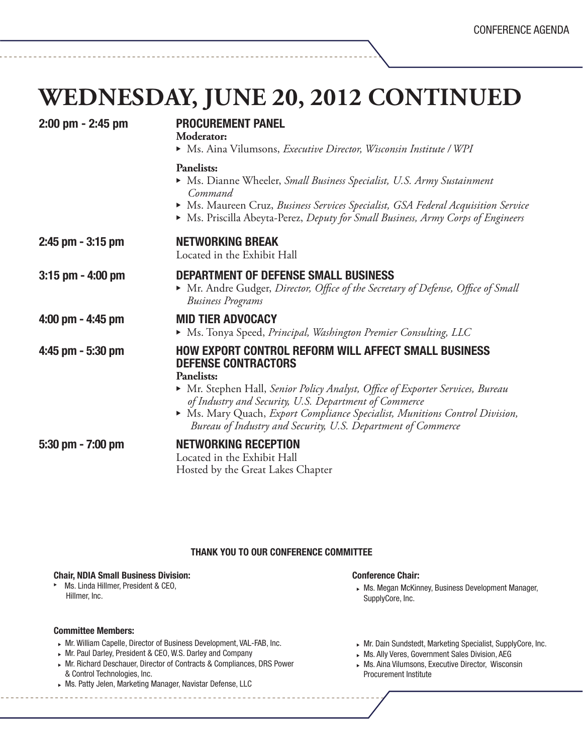### **Wednesday, June 20, 2012 continued**

| 2:00 pm - 2:45 pm     | <b>PROCUREMENT PANEL</b><br>Moderator:<br>Ms. Aina Vilumsons, Executive Director, Wisconsin Institute / WPI                                                                                                                                                                                                                                                                                            |  |  |
|-----------------------|--------------------------------------------------------------------------------------------------------------------------------------------------------------------------------------------------------------------------------------------------------------------------------------------------------------------------------------------------------------------------------------------------------|--|--|
|                       | <b>Panelists:</b><br>▶ Ms. Dianne Wheeler, Small Business Specialist, U.S. Army Sustainment<br>Command<br>• Ms. Maureen Cruz, Business Services Specialist, GSA Federal Acquisition Service<br>Ms. Priscilla Abeyta-Perez, Deputy for Small Business, Army Corps of Engineers                                                                                                                          |  |  |
| $2:45$ pm $-3:15$ pm  | <b>NETWORKING BREAK</b><br>Located in the Exhibit Hall                                                                                                                                                                                                                                                                                                                                                 |  |  |
| $3:15$ pm $-$ 4:00 pm | <b>DEPARTMENT OF DEFENSE SMALL BUSINESS</b><br>• Mr. Andre Gudger, Director, Office of the Secretary of Defense, Office of Small<br><b>Business Programs</b>                                                                                                                                                                                                                                           |  |  |
| $4:00$ pm $- 4:45$ pm | <b>MID TIER ADVOCACY</b><br>• Ms. Tonya Speed, Principal, Washington Premier Consulting, LLC                                                                                                                                                                                                                                                                                                           |  |  |
| 4:45 pm - 5:30 pm     | <b>HOW EXPORT CONTROL REFORM WILL AFFECT SMALL BUSINESS</b><br><b>DEFENSE CONTRACTORS</b><br><b>Panelists:</b><br>• Mr. Stephen Hall, Senior Policy Analyst, Office of Exporter Services, Bureau<br>of Industry and Security, U.S. Department of Commerce<br>Ms. Mary Quach, Export Compliance Specialist, Munitions Control Division,<br>Bureau of Industry and Security, U.S. Department of Commerce |  |  |
| 5:30 pm - 7:00 pm     | <b>NETWORKING RECEPTION</b><br>Located in the Exhibit Hall<br>Hosted by the Great Lakes Chapter                                                                                                                                                                                                                                                                                                        |  |  |

### Thank you to our Conference Committee

#### Chair, NDIA Small Business Division:

Ms. Linda Hillmer, President & CEO, Hillmer, Inc.

#### Committee Members:

- $\triangleright$  Mr. William Capelle, Director of Business Development, VAL-FAB, Inc.
- $\triangleright$  Mr. Paul Darley, President & CEO, W.S. Darley and Company
- <sup>u</sup> Mr. Richard Deschauer, Director of Contracts & Compliances, DRS Power & Control Technologies, Inc.
- $\triangleright$  Ms. Patty Jelen, Marketing Manager, Navistar Defense, LLC
- Conference Chair:
- $\triangleright$  Ms. Megan McKinney, Business Development Manager, SupplyCore, Inc.
- $\triangleright$  Mr. Dain Sundstedt, Marketing Specialist, SupplyCore, Inc.
- $\triangleright$  Ms. Ally Veres, Government Sales Division, AEG
- $\triangleright$  Ms. Aina Vilumsons, Executive Director, Wisconsin Procurement Institute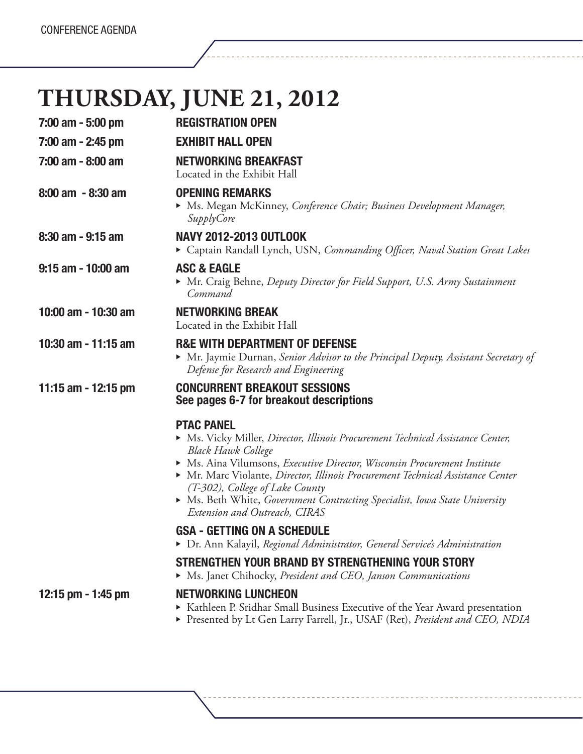# **Thursday, June 21, 2012**

| 7:00 am - 5:00 pm    | <b>REGISTRATION OPEN</b>                                                                                                                                                                                                                                                                                                                                                                                                                                                                                                                                                                                                                                                                        |  |  |
|----------------------|-------------------------------------------------------------------------------------------------------------------------------------------------------------------------------------------------------------------------------------------------------------------------------------------------------------------------------------------------------------------------------------------------------------------------------------------------------------------------------------------------------------------------------------------------------------------------------------------------------------------------------------------------------------------------------------------------|--|--|
| 7:00 am - 2:45 pm    | <b>EXHIBIT HALL OPEN</b>                                                                                                                                                                                                                                                                                                                                                                                                                                                                                                                                                                                                                                                                        |  |  |
| 7:00 am - 8:00 am    | <b>NETWORKING BREAKFAST</b><br>Located in the Exhibit Hall                                                                                                                                                                                                                                                                                                                                                                                                                                                                                                                                                                                                                                      |  |  |
| $8:00$ am $-8:30$ am | <b>OPENING REMARKS</b><br>• Ms. Megan McKinney, Conference Chair; Business Development Manager,<br><i>SupplyCore</i>                                                                                                                                                                                                                                                                                                                                                                                                                                                                                                                                                                            |  |  |
| 8:30 am - 9:15 am    | <b>NAVY 2012-2013 OUTLOOK</b><br>Captain Randall Lynch, USN, Commanding Officer, Naval Station Great Lakes                                                                                                                                                                                                                                                                                                                                                                                                                                                                                                                                                                                      |  |  |
| 9:15 am - 10:00 am   | <b>ASC &amp; EAGLE</b><br>Mr. Craig Behne, Deputy Director for Field Support, U.S. Army Sustainment<br>Command                                                                                                                                                                                                                                                                                                                                                                                                                                                                                                                                                                                  |  |  |
| 10:00 am - 10:30 am  | <b>NETWORKING BREAK</b><br>Located in the Exhibit Hall                                                                                                                                                                                                                                                                                                                                                                                                                                                                                                                                                                                                                                          |  |  |
| 10:30 am - 11:15 am  | <b>R&amp;E WITH DEPARTMENT OF DEFENSE</b><br>• Mr. Jaymie Durnan, Senior Advisor to the Principal Deputy, Assistant Secretary of<br>Defense for Research and Engineering                                                                                                                                                                                                                                                                                                                                                                                                                                                                                                                        |  |  |
| 11:15 am - 12:15 pm  | <b>CONCURRENT BREAKOUT SESSIONS</b><br>See pages 6-7 for breakout descriptions                                                                                                                                                                                                                                                                                                                                                                                                                                                                                                                                                                                                                  |  |  |
|                      | <b>PTAC PANEL</b><br>• Ms. Vicky Miller, Director, Illinois Procurement Technical Assistance Center,<br><b>Black Hawk College</b><br>• Ms. Aina Vilumsons, Executive Director, Wisconsin Procurement Institute<br>• Mr. Marc Violante, Director, Illinois Procurement Technical Assistance Center<br>(T-302), College of Lake County<br>• Ms. Beth White, Government Contracting Specialist, Iowa State University<br>Extension and Outreach, CIRAS<br><b>GSA - GETTING ON A SCHEDULE</b><br>▶ Dr. Ann Kalayil, Regional Administrator, General Service's Administration<br>STRENGTHEN YOUR BRAND BY STRENGTHENING YOUR STORY<br>• Ms. Janet Chihocky, President and CEO, Janson Communications |  |  |
| 12:15 pm - 1:45 pm   | <b>NETWORKING LUNCHEON</b><br>▶ Kathleen P. Sridhar Small Business Executive of the Year Award presentation<br>Presented by Lt Gen Larry Farrell, Jr., USAF (Ret), President and CEO, NDIA                                                                                                                                                                                                                                                                                                                                                                                                                                                                                                      |  |  |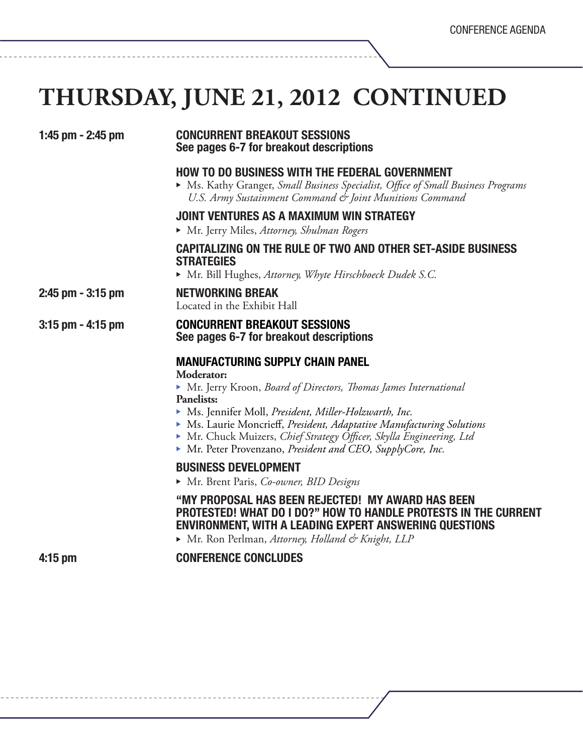# **THURSDAY, JUNE 21, 2012 CONTINUED**

| 1:45 pm - 2:45 pm   | <b>CONCURRENT BREAKOUT SESSIONS</b><br>See pages 6-7 for breakout descriptions                                                                                                                                                                                                                                                                                                                                      |  |  |
|---------------------|---------------------------------------------------------------------------------------------------------------------------------------------------------------------------------------------------------------------------------------------------------------------------------------------------------------------------------------------------------------------------------------------------------------------|--|--|
|                     | <b>HOW TO DO BUSINESS WITH THE FEDERAL GOVERNMENT</b><br>• Ms. Kathy Granger, Small Business Specialist, Office of Small Business Programs<br>U.S. Army Sustainment Command & Joint Munitions Command                                                                                                                                                                                                               |  |  |
|                     | JOINT VENTURES AS A MAXIMUM WIN STRATEGY<br>• Mr. Jerry Miles, Attorney, Shulman Rogers                                                                                                                                                                                                                                                                                                                             |  |  |
|                     | <b>CAPITALIZING ON THE RULE OF TWO AND OTHER SET-ASIDE BUSINESS</b><br><b>STRATEGIES</b><br>• Mr. Bill Hughes, Attorney, Whyte Hirschboeck Dudek S.C.                                                                                                                                                                                                                                                               |  |  |
| 2:45 pm - 3:15 pm   | <b>NETWORKING BREAK</b><br>Located in the Exhibit Hall                                                                                                                                                                                                                                                                                                                                                              |  |  |
| $3:15$ pm - 4:15 pm | <b>CONCURRENT BREAKOUT SESSIONS</b><br>See pages 6-7 for breakout descriptions                                                                                                                                                                                                                                                                                                                                      |  |  |
|                     | <b>MANUFACTURING SUPPLY CHAIN PANEL</b><br>Moderator:<br>• Mr. Jerry Kroon, Board of Directors, Thomas James International<br><b>Panelists:</b><br>Ms. Jennifer Moll, President, Miller-Holzwarth, Inc.<br>• Ms. Laurie Moncrieff, President, Adaptative Manufacturing Solutions<br>Mr. Chuck Muizers, Chief Strategy Officer, Skylla Engineering, Ltd<br>Mr. Peter Provenzano, President and CEO, SupplyCore, Inc. |  |  |
|                     | <b>BUSINESS DEVELOPMENT</b><br>Mr. Brent Paris, Co-owner, BID Designs<br>"MY PROPOSAL HAS BEEN REJECTED! MY AWARD HAS BEEN                                                                                                                                                                                                                                                                                          |  |  |
|                     | <b>PROTESTED! WHAT DO I DO?" HOW TO HANDLE PROTESTS IN THE CURRENT</b><br><b>ENVIRONMENT, WITH A LEADING EXPERT ANSWERING QUESTIONS</b><br>Mr. Ron Perlman, Attorney, Holland & Knight, LLP                                                                                                                                                                                                                         |  |  |
| $4:15$ pm           | <b>CONFERENCE CONCLUDES</b>                                                                                                                                                                                                                                                                                                                                                                                         |  |  |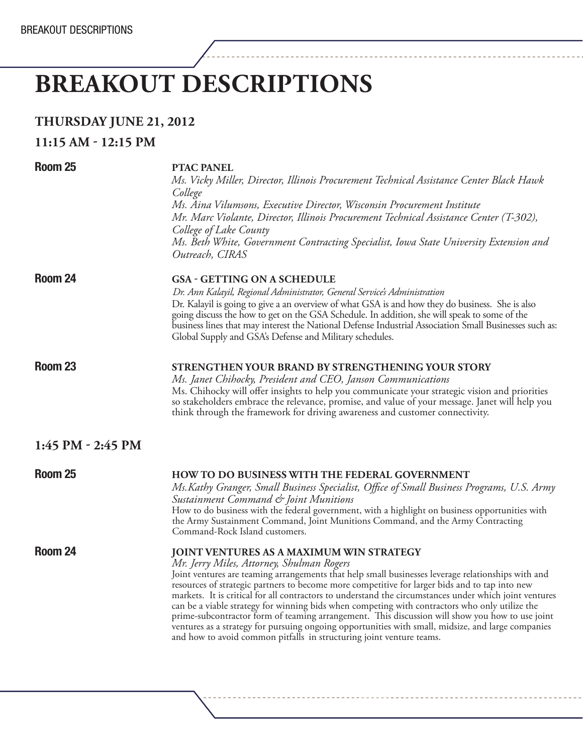# **BREAKOUT DESCRIPTIONS**

| <b>THURSDAY JUNE 21, 2012</b> |  |  |
|-------------------------------|--|--|
|-------------------------------|--|--|

### **11:15 am - 12:15 PM**

| Room 25             | <b>PTAC PANEL</b><br>Ms. Vicky Miller, Director, Illinois Procurement Technical Assistance Center Black Hawk<br>College<br>Ms. Aina Vilumsons, Executive Director, Wisconsin Procurement Institute<br>Mr. Marc Violante, Director, Illinois Procurement Technical Assistance Center (T-302),<br>College of Lake County<br>Ms. Beth White, Government Contracting Specialist, Iowa State University Extension and<br>Outreach, CIRAS                                                                                                                                                                                                                                                                                                                                                               |
|---------------------|---------------------------------------------------------------------------------------------------------------------------------------------------------------------------------------------------------------------------------------------------------------------------------------------------------------------------------------------------------------------------------------------------------------------------------------------------------------------------------------------------------------------------------------------------------------------------------------------------------------------------------------------------------------------------------------------------------------------------------------------------------------------------------------------------|
| Room 24             | <b>GSA - GETTING ON A SCHEDULE</b><br>Dr. Ann Kalayil, Regional Administrator, General Service's Administration<br>Dr. Kalayil is going to give a an overview of what GSA is and how they do business. She is also<br>going discuss the how to get on the GSA Schedule. In addition, she will speak to some of the<br>business lines that may interest the National Defense Industrial Association Small Businesses such as:<br>Global Supply and GSA's Defense and Military schedules.                                                                                                                                                                                                                                                                                                           |
| Room <sub>23</sub>  | <b>STRENGTHEN YOUR BRAND BY STRENGTHENING YOUR STORY</b><br>Ms. Janet Chihocky, President and CEO, Janson Communications<br>Ms. Chihocky will offer insights to help you communicate your strategic vision and priorities<br>so stakeholders embrace the relevance, promise, and value of your message. Janet will help you<br>think through the framework for driving awareness and customer connectivity.                                                                                                                                                                                                                                                                                                                                                                                       |
| $1:45$ PM - 2:45 PM |                                                                                                                                                                                                                                                                                                                                                                                                                                                                                                                                                                                                                                                                                                                                                                                                   |
| Room <sub>25</sub>  | HOW TO DO BUSINESS WITH THE FEDERAL GOVERNMENT<br>Ms. Kathy Granger, Small Business Specialist, Office of Small Business Programs, U.S. Army<br>Sustainment Command & Joint Munitions<br>How to do business with the federal government, with a highlight on business opportunities with<br>the Army Sustainment Command, Joint Munitions Command, and the Army Contracting<br>Command-Rock Island customers.                                                                                                                                                                                                                                                                                                                                                                                     |
| Room 24             | <b>JOINT VENTURES AS A MAXIMUM WIN STRATEGY</b><br>Mr. Jerry Miles, Attorney, Shulman Rogers<br>Joint ventures are teaming arrangements that help small businesses leverage relationships with and<br>resources of strategic partners to become more competitive for larger bids and to tap into new<br>markets. It is critical for all contractors to understand the circumstances under which joint ventures<br>can be a viable strategy for winning bids when competing with contractors who only utilize the<br>prime-subcontractor form of teaming arrangement. This discussion will show you how to use joint<br>ventures as a strategy for pursuing ongoing opportunities with small, midsize, and large companies<br>and how to avoid common pitfalls in structuring joint venture teams. |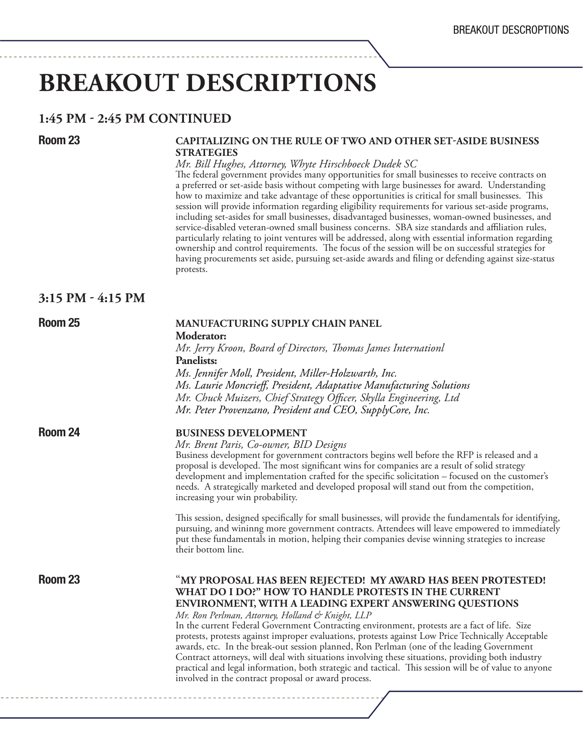# **breakout descriptions**

### **1:45 pm - 2:45 PM Continued**

### Room 23 **CAPITALIZING ON THE RULE OF TWO AND OTHER SET-ASIDE BUSINESS Strategies**

*Mr. Bill Hughes, Attorney, Whyte Hirschboeck Dudek SC*<br>The federal government provides many opportunities for small businesses to receive contracts on a preferred or set-aside basis without competing with large businesses for award. Understanding how to maximize and take advantage of these opportunities is critical for small businesses. This session will provide information regarding eligibility requirements for various set-aside programs, including set-asides for small businesses, disadvantaged businesses, woman-owned businesses, and service-disabled veteran-owned small business concerns. SBA size standards and affiliation rules, particularly relating to joint ventures will be addressed, along with essential information regarding ownership and control requirements. The focus of the session will be on successful strategies for having procurements set aside, pursuing set-aside awards and filing or defending against size-status protests.

### **3:15 pm - 4:15 PM**

 

### Room 25 **Manufacturing supply chain panel**

 **Moderator:**

*Mr. Jerry Kroon, Board of Directors, Thomas James Internationl* **Panelists:**  *Ms. Jennifer Moll, President, Miller-Holzwarth, Inc. Ms. Laurie Moncrieff, President, Adaptative Manufacturing Solutions* 

 *Mr. Chuck Muizers, Chief Strategy Officer, Skylla Engineering, Ltd Mr. Peter Provenzano, President and CEO, SupplyCore, Inc.* 

**Room 24 BUSINESS DEVELOPMENT**<br>*Mr. Brent Paris, Co-owner, BID Designs* 

Business development for government contractors begins well before the RFP is released and a proposal is developed. The most significant wins for companies are a result of solid strategy development and implementation crafted for the specific solicitation – focused on the customer's needs. A strategically marketed and developed proposal will stand out from the competition, increasing your win probability.

 This session, designed specifically for small businesses, will provide the fundamentals for identifying, pursuing, and wininng more government contracts. Attendees will leave empowered to immediately put these fundamentals in motion, helping their companies devise winning strategies to increase their bottom line.

Room 23 **MY PROPOSAL HAS BEEN REJECTED! MY AWARD HAS BEEN PROTESTED! What do I do?" How to Handle Protests in the Current Environment, with a Leading Expert Answering Questions** 

 *Mr. Ron Perlman, Attorney, Holland & Knight, LLP* In the current Federal Government Contracting environment, protests are a fact of life. Size protests, protests against improper evaluations, protests against Low Price Technically Acceptable awards, etc. In the break-out session planned, Ron Perlman (one of the leading Government Contract attorneys, will deal with situations involving these situations, providing both industry practical and legal information, both strategic and tactical. This session will be of value to anyone involved in the contract proposal or award process.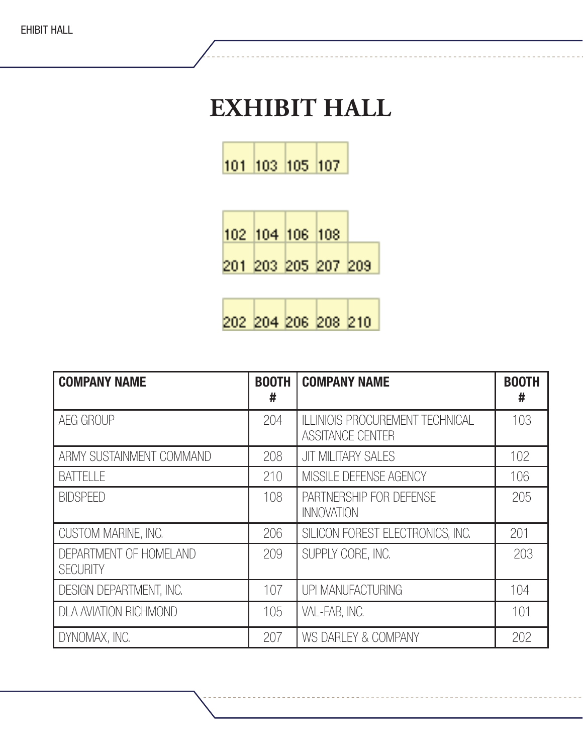# **Exhibit Hall**

101 103 105 107

|  | 102  104  106  108      |  |
|--|-------------------------|--|
|  | 201  203  205  207  209 |  |

202 204 206 208 210

| <b>COMPANY NAME</b>                       | <b>BOOTH</b><br># | <b>COMPANY NAME</b>                                               | <b>BOOTH</b><br># |
|-------------------------------------------|-------------------|-------------------------------------------------------------------|-------------------|
| AEG GROUP                                 | 204               | <b>ILLINIOIS PROCUREMENT TECHNICAL</b><br><b>ASSITANCE CENTER</b> | 103               |
| ARMY SUSTAINMENT COMMAND                  | 208               | <b>JIT MILITARY SALES</b>                                         | 102               |
| <b>BATTELLE</b>                           | 210               | MISSILE DEFENSE AGENCY                                            | 106               |
| <b>BIDSPEED</b>                           | 108               | PARTNERSHIP FOR DEFENSE<br><b>INNOVATION</b>                      | 205               |
| CUSTOM MARINE, INC.                       | 206               | SILICON FOREST ELECTRONICS, INC.                                  | 201               |
| DEPARTMENT OF HOMELAND<br><b>SECURITY</b> | 209               | SUPPLY CORE, INC.                                                 | 203               |
| DESIGN DEPARTMENT, INC.                   | 107               | UPI MANUFACTURING                                                 | 104               |
| <b>DLA AVIATION RICHMOND</b>              | 105               | VAL-FAB, INC.                                                     | 101               |
| DYNOMAX, INC.                             | 207               | WS DARLEY & COMPANY                                               | 202               |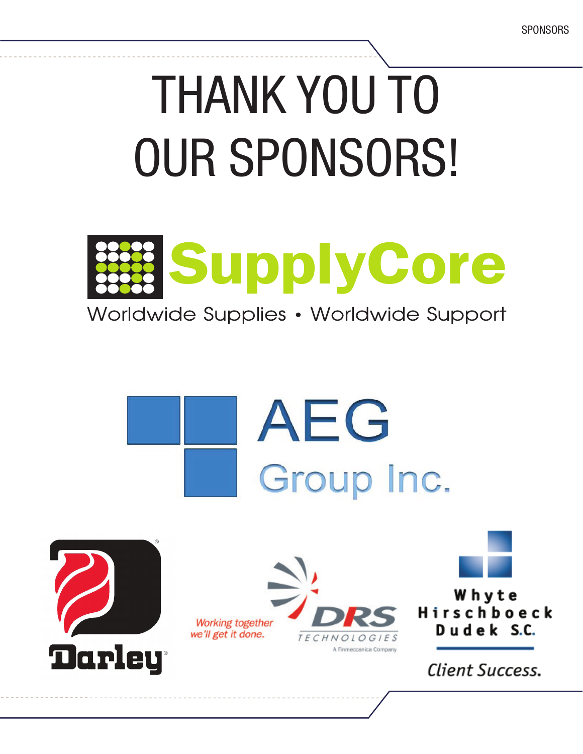# THANK YOU TO our sponsors!



Worldwide Supplies • Worldwide Support

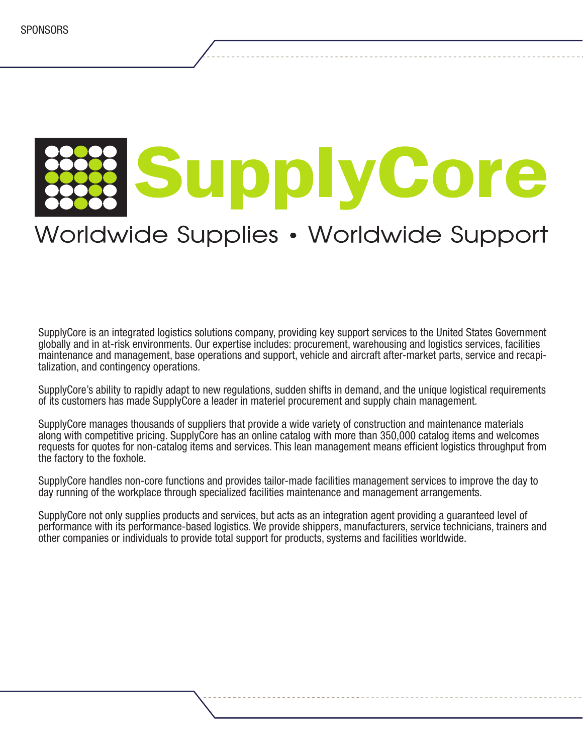

## Worldwide Supplies • Worldwide Support

SupplyCore is an integrated logistics solutions company, providing key support services to the United States Government globally and in at-risk environments. Our expertise includes: procurement, warehousing and logistics services, facilities maintenance and management, base operations and support, vehicle and aircraft after-market parts, service and recapi- talization, and contingency operations.

SupplyCore's ability to rapidly adapt to new regulations, sudden shifts in demand, and the unique logistical requirements of its customers has made SupplyCore a leader in materiel procurement and supply chain management.

SupplyCore manages thousands of suppliers that provide a wide variety of construction and maintenance materials along with competitive pricing. SupplyCore has an online catalog with more than 350,000 catalog items and welcomes requests for quotes for non-catalog items and services. This lean management means efficient logistics throughput from the factory to the foxhole.

SupplyCore handles non-core functions and provides tailor-made facilities management services to improve the day to day running of the workplace through specialized facilities maintenance and management arrangements.

SupplyCore not only supplies products and services, but acts as an integration agent providing a guaranteed level of performance with its performance-based logistics. We provide shippers, manufacturers, service technicians, trainers and other companies or individuals to provide total support for products, systems and facilities worldwide.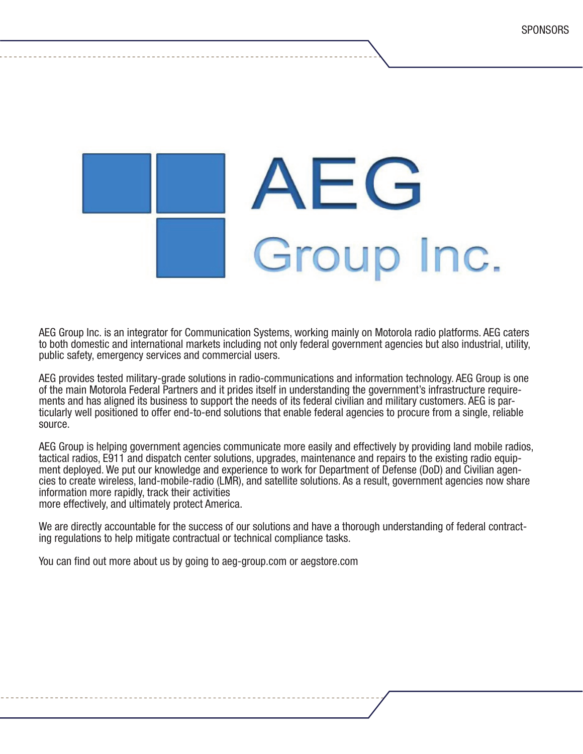

AEG Group Inc. is an integrator for Communication Systems, working mainly on Motorola radio platforms. AEG caters to both domestic and international markets including not only federal government agencies but also industrial, utility, public safety, emergency services and commercial users.

AEG provides tested military-grade solutions in radio-communications and information technology. AEG Group is one<br>of the main Motorola Federal Partners and it prides itself in understanding the government's infrastructure ments and has aligned its business to support the needs of its federal civilian and military customers. AEG is par-<br>ticularly well positioned to offer end-to-end solutions that enable federal agencies to procure from a sin source.

AEG Group is helping government agencies communicate more easily and effectively by providing land mobile radios,<br>tactical radios, E911 and dispatch center solutions, upgrades, maintenance and repairs to the existing radio ment deployed. We put our knowledge and experience to work for Department of Defense (DoD) and Civilian agen-<br>cies to create wireless, land-mobile-radio (LMR), and satellite solutions. As a result, government agencies now information more rapidly, track their activities more effectively, and ultimately protect America.

We are directly accountable for the success of our solutions and have a thorough understanding of federal contract-<br>ing regulations to help mitigate contractual or technical compliance tasks.

You can find out more about us by going to aeg-group.com or aegstore.com